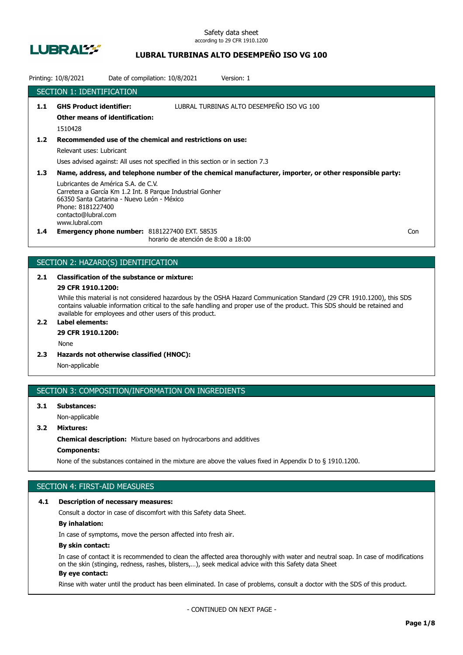

## **LUBRAL TURBINAS ALTO DESEMPEÑO ISO VG 100**

|               | Printing: 10/8/2021                                                                                                                             | Date of compilation: 10/8/2021                                                              | Version: 1                                                                                              |     |
|---------------|-------------------------------------------------------------------------------------------------------------------------------------------------|---------------------------------------------------------------------------------------------|---------------------------------------------------------------------------------------------------------|-----|
|               | <b>SECTION 1: IDENTIFICATION</b>                                                                                                                |                                                                                             |                                                                                                         |     |
| 1.1           | <b>GHS Product identifier:</b><br><b>Other means of identification:</b>                                                                         |                                                                                             | LUBRAL TURBINAS ALTO DESEMPEÑO ISO VG 100                                                               |     |
|               | 1510428                                                                                                                                         |                                                                                             |                                                                                                         |     |
| $1.2$         |                                                                                                                                                 | Recommended use of the chemical and restrictions on use:                                    |                                                                                                         |     |
|               | Relevant uses: Lubricant                                                                                                                        |                                                                                             |                                                                                                         |     |
|               |                                                                                                                                                 | Uses advised against: All uses not specified in this section or in section 7.3              |                                                                                                         |     |
| 1.3           |                                                                                                                                                 |                                                                                             | Name, address, and telephone number of the chemical manufacturer, importer, or other responsible party: |     |
|               | Lubricantes de América S.A. de C.V.<br>66350 Santa Catarina - Nuevo León - México<br>Phone: 8181227400<br>contacto@lubral.com<br>www.lubral.com | Carretera a García Km 1.2 Int. 8 Parque Industrial Gonher                                   |                                                                                                         |     |
| $1.4^{\circ}$ |                                                                                                                                                 | <b>Emergency phone number: 8181227400 EXT. 58535</b><br>horario de atención de 8:00 a 18:00 |                                                                                                         | Con |

## SECTION 2: HAZARD(S) IDENTIFICATION

# **2.1 Classification of the substance or mixture:**

## **29 CFR 1910.1200:**

While this material is not considered hazardous by the OSHA Hazard Communication Standard (29 CFR 1910.1200), this SDS contains valuable information critical to the safe handling and proper use of the product. This SDS should be retained and available for employees and other users of this product.

## **2.2 Label elements:**

## **29 CFR 1910.1200:**

None

**2.3 Hazards not otherwise classified (HNOC):**

Non-applicable

## SECTION 3: COMPOSITION/INFORMATION ON INGREDIENTS

## **3.1 Substances:** Non-applicable

**3.2 Mixtures:**

**Chemical description:** Mixture based on hydrocarbons and additives

## **Components:**

None of the substances contained in the mixture are above the values fixed in Appendix D to § 1910.1200.

## SECTION 4: FIRST-AID MEASURES

#### **4.1 Description of necessary measures:**

Consult a doctor in case of discomfort with this Safety data Sheet.

### **By inhalation:**

In case of symptoms, move the person affected into fresh air.

#### **By skin contact:**

In case of contact it is recommended to clean the affected area thoroughly with water and neutral soap. In case of modifications on the skin (stinging, redness, rashes, blisters,…), seek medical advice with this Safety data Sheet **By eye contact:**

#### Rinse with water until the product has been eliminated. In case of problems, consult a doctor with the SDS of this product.

- CONTINUED ON NEXT PAGE -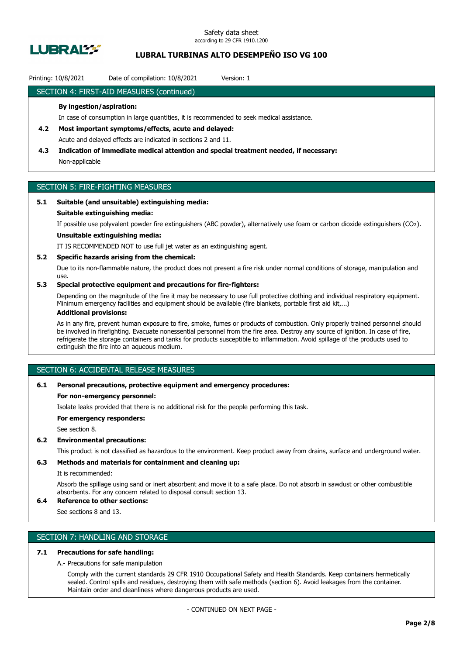

## **LUBRAL TURBINAS ALTO DESEMPEÑO ISO VG 100**

### Printing: 10/8/2021 Date of compilation: 10/8/2021 Version: 1

### SECTION 4: FIRST-AID MEASURES (continued)

#### **By ingestion/aspiration:**

In case of consumption in large quantities, it is recommended to seek medical assistance.

## **4.2 Most important symptoms/effects, acute and delayed:** Acute and delayed effects are indicated in sections 2 and 11.

**4.3 Indication of immediate medical attention and special treatment needed, if necessary:**

Non-applicable

## SECTION 5: FIRE-FIGHTING MEASURES

## **5.1 Suitable (and unsuitable) extinguishing media:**

#### **Suitable extinguishing media:**

If possible use polyvalent powder fire extinguishers (ABC powder), alternatively use foam or carbon dioxide extinguishers (CO₂).

## **Unsuitable extinguishing media:**

IT IS RECOMMENDED NOT to use full jet water as an extinguishing agent.

#### **5.2 Specific hazards arising from the chemical:**

Due to its non-flammable nature, the product does not present a fire risk under normal conditions of storage, manipulation and use.

### **5.3 Special protective equipment and precautions for fire-fighters:**

Depending on the magnitude of the fire it may be necessary to use full protective clothing and individual respiratory equipment. Minimum emergency facilities and equipment should be available (fire blankets, portable first aid kit,...)

## **Additional provisions:**

As in any fire, prevent human exposure to fire, smoke, fumes or products of combustion. Only properly trained personnel should be involved in firefighting. Evacuate nonessential personnel from the fire area. Destroy any source of ignition. In case of fire, refrigerate the storage containers and tanks for products susceptible to inflammation. Avoid spillage of the products used to extinguish the fire into an aqueous medium.

## SECTION 6: ACCIDENTAL RELEASE MEASURES

#### **6.1 Personal precautions, protective equipment and emergency procedures:**

#### **For non-emergency personnel:**

Isolate leaks provided that there is no additional risk for the people performing this task.

**For emergency responders:**

See section 8.

#### **6.2 Environmental precautions:**

This product is not classified as hazardous to the environment. Keep product away from drains, surface and underground water.

### **6.3 Methods and materials for containment and cleaning up:**

It is recommended:

Absorb the spillage using sand or inert absorbent and move it to a safe place. Do not absorb in sawdust or other combustible absorbents. For any concern related to disposal consult section 13.

## **6.4 Reference to other sections:**

See sections 8 and 13.

## SECTION 7: HANDLING AND STORAGE

### **7.1 Precautions for safe handling:**

A.- Precautions for safe manipulation

Comply with the current standards 29 CFR 1910 Occupational Safety and Health Standards. Keep containers hermetically sealed. Control spills and residues, destroying them with safe methods (section 6). Avoid leakages from the container. Maintain order and cleanliness where dangerous products are used.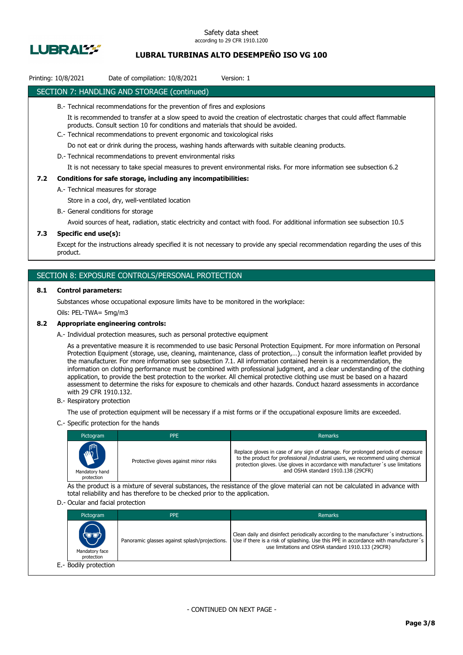

## **LUBRAL TURBINAS ALTO DESEMPEÑO ISO VG 100**

## Printing: 10/8/2021 Date of compilation: 10/8/2021 Version: 1

### SECTION 7: HANDLING AND STORAGE (continued)

- B.- Technical recommendations for the prevention of fires and explosions
	- It is recommended to transfer at a slow speed to avoid the creation of electrostatic charges that could affect flammable products. Consult section 10 for conditions and materials that should be avoided.
- C.- Technical recommendations to prevent ergonomic and toxicological risks

Do not eat or drink during the process, washing hands afterwards with suitable cleaning products.

D.- Technical recommendations to prevent environmental risks

It is not necessary to take special measures to prevent environmental risks. For more information see subsection 6.2

#### **7.2 Conditions for safe storage, including any incompatibilities:**

A.- Technical measures for storage

Store in a cool, dry, well-ventilated location

B.- General conditions for storage

Avoid sources of heat, radiation, static electricity and contact with food. For additional information see subsection 10.5

#### **7.3 Specific end use(s):**

Except for the instructions already specified it is not necessary to provide any special recommendation regarding the uses of this product.

### SECTION 8: EXPOSURE CONTROLS/PERSONAL PROTECTION

#### **8.1 Control parameters:**

Substances whose occupational exposure limits have to be monitored in the workplace:

Oils: PEL-TWA= 5mg/m3

#### **8.2 Appropriate engineering controls:**

A.- Individual protection measures, such as personal protective equipment

As a preventative measure it is recommended to use basic Personal Protection Equipment. For more information on Personal Protection Equipment (storage, use, cleaning, maintenance, class of protection,…) consult the information leaflet provided by the manufacturer. For more information see subsection 7.1. All information contained herein is a recommendation, the information on clothing performance must be combined with professional judgment, and a clear understanding of the clothing application, to provide the best protection to the worker. All chemical protective clothing use must be based on a hazard assessment to determine the risks for exposure to chemicals and other hazards. Conduct hazard assessments in accordance with 29 CFR 1910.132.

B.- Respiratory protection

The use of protection equipment will be necessary if a mist forms or if the occupational exposure limits are exceeded.

C.- Specific protection for the hands

| Pictogram                            | <b>PPE</b>                            | Remarks                                                                                                                                                                                                                                                                                    |
|--------------------------------------|---------------------------------------|--------------------------------------------------------------------------------------------------------------------------------------------------------------------------------------------------------------------------------------------------------------------------------------------|
| MAIL<br>Mandatory hand<br>protection | Protective gloves against minor risks | Replace gloves in case of any sign of damage. For prolonged periods of exposure<br>to the product for professional /industrial users, we recommend using chemical<br>protection gloves. Use gloves in accordance with manufacturer's use limitations<br>and OSHA standard 1910.138 (29CFR) |

As the product is a mixture of several substances, the resistance of the glove material can not be calculated in advance with total reliability and has therefore to be checked prior to the application.

#### D.- Ocular and facial protection

| Pictogram                             | <b>PPE</b>                                    | Remarks                                                                                                                                                                                                                           |
|---------------------------------------|-----------------------------------------------|-----------------------------------------------------------------------------------------------------------------------------------------------------------------------------------------------------------------------------------|
| (U'U)<br>Mandatory face<br>protection | Panoramic glasses against splash/projections. | Clean daily and disinfect periodically according to the manufacturer's instructions.<br>Use if there is a risk of splashing. Use this PPE in accordance with manufacturer's<br>use limitations and OSHA standard 1910.133 (29CFR) |
| E.- Bodily protection                 |                                               |                                                                                                                                                                                                                                   |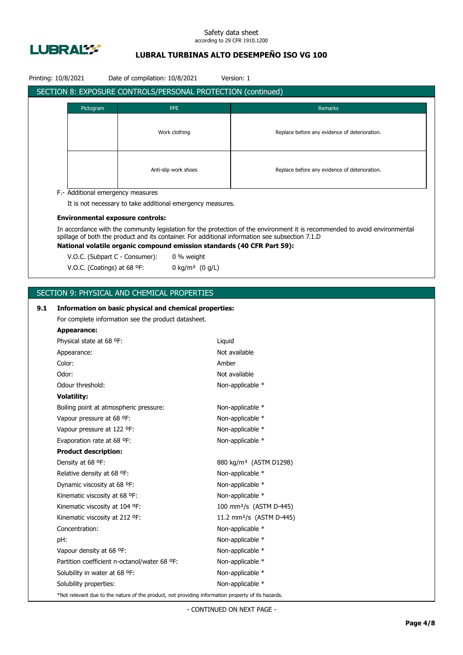

## **LUBRAL TURBINAS ALTO DESEMPEÑO ISO VG 100**

| SECTION 8: EXPOSURE CONTROLS/PERSONAL PROTECTION (continued)<br>Pictogram<br><b>PPE</b><br>Remarks<br>Work clothing<br>Replace before any evidence of deterioration.<br>Anti-slip work shoes<br>Replace before any evidence of deterioration.<br>F.- Additional emergency measures<br>It is not necessary to take additional emergency measures.<br><b>Environmental exposure controls:</b><br>In accordance with the community legislation for the protection of the environment it is recommended to avoid environmental<br>spillage of both the product and its container. For additional information see subsection 7.1.D<br>National volatile organic compound emission standards (40 CFR Part 59):<br>V.O.C. (Subpart C - Consumer):<br>0 % weight<br>V.O.C. (Coatings) at 68 °F:<br>0 kg/m <sup>3</sup> $(0 g/L)$<br>SECTION 9: PHYSICAL AND CHEMICAL PROPERTIES<br>9.1<br>Information on basic physical and chemical properties:<br>For complete information see the product datasheet.<br><b>Appearance:</b><br>Physical state at 68 °F:<br>Liquid<br>Not available<br>Appearance:<br>Color:<br>Amber<br>Odor:<br>Not available<br>Odour threshold:<br>Non-applicable *<br><b>Volatility:</b><br>Non-applicable *<br>Boiling point at atmospheric pressure:<br>Vapour pressure at 68 °F:<br>Non-applicable *<br>Vapour pressure at 122 °F:<br>Non-applicable *<br>Non-applicable *<br>Evaporation rate at 68 °F:<br><b>Product description:</b><br>880 kg/m <sup>3</sup> (ASTM D1298)<br>Density at 68 °F:<br>Relative density at 68 °F:<br>Non-applicable *<br>Non-applicable *<br>Dynamic viscosity at 68 °F:<br>Kinematic viscosity at 68 °F:<br>Non-applicable *<br>Kinematic viscosity at 104 °F:<br>100 mm <sup>2</sup> /s (ASTM D-445)<br>11.2 mm <sup>2</sup> /s (ASTM D-445)<br>Kinematic viscosity at 212 °F:<br>Concentration:<br>Non-applicable *<br>pH:<br>Non-applicable *<br>Non-applicable *<br>Vapour density at 68 °F: | Printing: 10/8/2021 | Date of compilation: 10/8/2021 | Version: 1 |
|---------------------------------------------------------------------------------------------------------------------------------------------------------------------------------------------------------------------------------------------------------------------------------------------------------------------------------------------------------------------------------------------------------------------------------------------------------------------------------------------------------------------------------------------------------------------------------------------------------------------------------------------------------------------------------------------------------------------------------------------------------------------------------------------------------------------------------------------------------------------------------------------------------------------------------------------------------------------------------------------------------------------------------------------------------------------------------------------------------------------------------------------------------------------------------------------------------------------------------------------------------------------------------------------------------------------------------------------------------------------------------------------------------------------------------------------------------------------------------------------------------------------------------------------------------------------------------------------------------------------------------------------------------------------------------------------------------------------------------------------------------------------------------------------------------------------------------------------------------------------------------------------------------------------------------------------------|---------------------|--------------------------------|------------|
|                                                                                                                                                                                                                                                                                                                                                                                                                                                                                                                                                                                                                                                                                                                                                                                                                                                                                                                                                                                                                                                                                                                                                                                                                                                                                                                                                                                                                                                                                                                                                                                                                                                                                                                                                                                                                                                                                                                                                   |                     |                                |            |
|                                                                                                                                                                                                                                                                                                                                                                                                                                                                                                                                                                                                                                                                                                                                                                                                                                                                                                                                                                                                                                                                                                                                                                                                                                                                                                                                                                                                                                                                                                                                                                                                                                                                                                                                                                                                                                                                                                                                                   |                     |                                |            |
|                                                                                                                                                                                                                                                                                                                                                                                                                                                                                                                                                                                                                                                                                                                                                                                                                                                                                                                                                                                                                                                                                                                                                                                                                                                                                                                                                                                                                                                                                                                                                                                                                                                                                                                                                                                                                                                                                                                                                   |                     |                                |            |
|                                                                                                                                                                                                                                                                                                                                                                                                                                                                                                                                                                                                                                                                                                                                                                                                                                                                                                                                                                                                                                                                                                                                                                                                                                                                                                                                                                                                                                                                                                                                                                                                                                                                                                                                                                                                                                                                                                                                                   |                     |                                |            |
|                                                                                                                                                                                                                                                                                                                                                                                                                                                                                                                                                                                                                                                                                                                                                                                                                                                                                                                                                                                                                                                                                                                                                                                                                                                                                                                                                                                                                                                                                                                                                                                                                                                                                                                                                                                                                                                                                                                                                   |                     |                                |            |
|                                                                                                                                                                                                                                                                                                                                                                                                                                                                                                                                                                                                                                                                                                                                                                                                                                                                                                                                                                                                                                                                                                                                                                                                                                                                                                                                                                                                                                                                                                                                                                                                                                                                                                                                                                                                                                                                                                                                                   |                     |                                |            |
|                                                                                                                                                                                                                                                                                                                                                                                                                                                                                                                                                                                                                                                                                                                                                                                                                                                                                                                                                                                                                                                                                                                                                                                                                                                                                                                                                                                                                                                                                                                                                                                                                                                                                                                                                                                                                                                                                                                                                   |                     |                                |            |
|                                                                                                                                                                                                                                                                                                                                                                                                                                                                                                                                                                                                                                                                                                                                                                                                                                                                                                                                                                                                                                                                                                                                                                                                                                                                                                                                                                                                                                                                                                                                                                                                                                                                                                                                                                                                                                                                                                                                                   |                     |                                |            |
|                                                                                                                                                                                                                                                                                                                                                                                                                                                                                                                                                                                                                                                                                                                                                                                                                                                                                                                                                                                                                                                                                                                                                                                                                                                                                                                                                                                                                                                                                                                                                                                                                                                                                                                                                                                                                                                                                                                                                   |                     |                                |            |
|                                                                                                                                                                                                                                                                                                                                                                                                                                                                                                                                                                                                                                                                                                                                                                                                                                                                                                                                                                                                                                                                                                                                                                                                                                                                                                                                                                                                                                                                                                                                                                                                                                                                                                                                                                                                                                                                                                                                                   |                     |                                |            |
|                                                                                                                                                                                                                                                                                                                                                                                                                                                                                                                                                                                                                                                                                                                                                                                                                                                                                                                                                                                                                                                                                                                                                                                                                                                                                                                                                                                                                                                                                                                                                                                                                                                                                                                                                                                                                                                                                                                                                   |                     |                                |            |
|                                                                                                                                                                                                                                                                                                                                                                                                                                                                                                                                                                                                                                                                                                                                                                                                                                                                                                                                                                                                                                                                                                                                                                                                                                                                                                                                                                                                                                                                                                                                                                                                                                                                                                                                                                                                                                                                                                                                                   |                     |                                |            |
|                                                                                                                                                                                                                                                                                                                                                                                                                                                                                                                                                                                                                                                                                                                                                                                                                                                                                                                                                                                                                                                                                                                                                                                                                                                                                                                                                                                                                                                                                                                                                                                                                                                                                                                                                                                                                                                                                                                                                   |                     |                                |            |
|                                                                                                                                                                                                                                                                                                                                                                                                                                                                                                                                                                                                                                                                                                                                                                                                                                                                                                                                                                                                                                                                                                                                                                                                                                                                                                                                                                                                                                                                                                                                                                                                                                                                                                                                                                                                                                                                                                                                                   |                     |                                |            |
|                                                                                                                                                                                                                                                                                                                                                                                                                                                                                                                                                                                                                                                                                                                                                                                                                                                                                                                                                                                                                                                                                                                                                                                                                                                                                                                                                                                                                                                                                                                                                                                                                                                                                                                                                                                                                                                                                                                                                   |                     |                                |            |
|                                                                                                                                                                                                                                                                                                                                                                                                                                                                                                                                                                                                                                                                                                                                                                                                                                                                                                                                                                                                                                                                                                                                                                                                                                                                                                                                                                                                                                                                                                                                                                                                                                                                                                                                                                                                                                                                                                                                                   |                     |                                |            |
|                                                                                                                                                                                                                                                                                                                                                                                                                                                                                                                                                                                                                                                                                                                                                                                                                                                                                                                                                                                                                                                                                                                                                                                                                                                                                                                                                                                                                                                                                                                                                                                                                                                                                                                                                                                                                                                                                                                                                   |                     |                                |            |
|                                                                                                                                                                                                                                                                                                                                                                                                                                                                                                                                                                                                                                                                                                                                                                                                                                                                                                                                                                                                                                                                                                                                                                                                                                                                                                                                                                                                                                                                                                                                                                                                                                                                                                                                                                                                                                                                                                                                                   |                     |                                |            |
|                                                                                                                                                                                                                                                                                                                                                                                                                                                                                                                                                                                                                                                                                                                                                                                                                                                                                                                                                                                                                                                                                                                                                                                                                                                                                                                                                                                                                                                                                                                                                                                                                                                                                                                                                                                                                                                                                                                                                   |                     |                                |            |
|                                                                                                                                                                                                                                                                                                                                                                                                                                                                                                                                                                                                                                                                                                                                                                                                                                                                                                                                                                                                                                                                                                                                                                                                                                                                                                                                                                                                                                                                                                                                                                                                                                                                                                                                                                                                                                                                                                                                                   |                     |                                |            |
|                                                                                                                                                                                                                                                                                                                                                                                                                                                                                                                                                                                                                                                                                                                                                                                                                                                                                                                                                                                                                                                                                                                                                                                                                                                                                                                                                                                                                                                                                                                                                                                                                                                                                                                                                                                                                                                                                                                                                   |                     |                                |            |
|                                                                                                                                                                                                                                                                                                                                                                                                                                                                                                                                                                                                                                                                                                                                                                                                                                                                                                                                                                                                                                                                                                                                                                                                                                                                                                                                                                                                                                                                                                                                                                                                                                                                                                                                                                                                                                                                                                                                                   |                     |                                |            |
|                                                                                                                                                                                                                                                                                                                                                                                                                                                                                                                                                                                                                                                                                                                                                                                                                                                                                                                                                                                                                                                                                                                                                                                                                                                                                                                                                                                                                                                                                                                                                                                                                                                                                                                                                                                                                                                                                                                                                   |                     |                                |            |
|                                                                                                                                                                                                                                                                                                                                                                                                                                                                                                                                                                                                                                                                                                                                                                                                                                                                                                                                                                                                                                                                                                                                                                                                                                                                                                                                                                                                                                                                                                                                                                                                                                                                                                                                                                                                                                                                                                                                                   |                     |                                |            |
|                                                                                                                                                                                                                                                                                                                                                                                                                                                                                                                                                                                                                                                                                                                                                                                                                                                                                                                                                                                                                                                                                                                                                                                                                                                                                                                                                                                                                                                                                                                                                                                                                                                                                                                                                                                                                                                                                                                                                   |                     |                                |            |
|                                                                                                                                                                                                                                                                                                                                                                                                                                                                                                                                                                                                                                                                                                                                                                                                                                                                                                                                                                                                                                                                                                                                                                                                                                                                                                                                                                                                                                                                                                                                                                                                                                                                                                                                                                                                                                                                                                                                                   |                     |                                |            |
|                                                                                                                                                                                                                                                                                                                                                                                                                                                                                                                                                                                                                                                                                                                                                                                                                                                                                                                                                                                                                                                                                                                                                                                                                                                                                                                                                                                                                                                                                                                                                                                                                                                                                                                                                                                                                                                                                                                                                   |                     |                                |            |
|                                                                                                                                                                                                                                                                                                                                                                                                                                                                                                                                                                                                                                                                                                                                                                                                                                                                                                                                                                                                                                                                                                                                                                                                                                                                                                                                                                                                                                                                                                                                                                                                                                                                                                                                                                                                                                                                                                                                                   |                     |                                |            |
|                                                                                                                                                                                                                                                                                                                                                                                                                                                                                                                                                                                                                                                                                                                                                                                                                                                                                                                                                                                                                                                                                                                                                                                                                                                                                                                                                                                                                                                                                                                                                                                                                                                                                                                                                                                                                                                                                                                                                   |                     |                                |            |
|                                                                                                                                                                                                                                                                                                                                                                                                                                                                                                                                                                                                                                                                                                                                                                                                                                                                                                                                                                                                                                                                                                                                                                                                                                                                                                                                                                                                                                                                                                                                                                                                                                                                                                                                                                                                                                                                                                                                                   |                     |                                |            |
|                                                                                                                                                                                                                                                                                                                                                                                                                                                                                                                                                                                                                                                                                                                                                                                                                                                                                                                                                                                                                                                                                                                                                                                                                                                                                                                                                                                                                                                                                                                                                                                                                                                                                                                                                                                                                                                                                                                                                   |                     |                                |            |
|                                                                                                                                                                                                                                                                                                                                                                                                                                                                                                                                                                                                                                                                                                                                                                                                                                                                                                                                                                                                                                                                                                                                                                                                                                                                                                                                                                                                                                                                                                                                                                                                                                                                                                                                                                                                                                                                                                                                                   |                     |                                |            |
|                                                                                                                                                                                                                                                                                                                                                                                                                                                                                                                                                                                                                                                                                                                                                                                                                                                                                                                                                                                                                                                                                                                                                                                                                                                                                                                                                                                                                                                                                                                                                                                                                                                                                                                                                                                                                                                                                                                                                   |                     |                                |            |
|                                                                                                                                                                                                                                                                                                                                                                                                                                                                                                                                                                                                                                                                                                                                                                                                                                                                                                                                                                                                                                                                                                                                                                                                                                                                                                                                                                                                                                                                                                                                                                                                                                                                                                                                                                                                                                                                                                                                                   |                     |                                |            |
|                                                                                                                                                                                                                                                                                                                                                                                                                                                                                                                                                                                                                                                                                                                                                                                                                                                                                                                                                                                                                                                                                                                                                                                                                                                                                                                                                                                                                                                                                                                                                                                                                                                                                                                                                                                                                                                                                                                                                   |                     |                                |            |
|                                                                                                                                                                                                                                                                                                                                                                                                                                                                                                                                                                                                                                                                                                                                                                                                                                                                                                                                                                                                                                                                                                                                                                                                                                                                                                                                                                                                                                                                                                                                                                                                                                                                                                                                                                                                                                                                                                                                                   |                     |                                |            |
|                                                                                                                                                                                                                                                                                                                                                                                                                                                                                                                                                                                                                                                                                                                                                                                                                                                                                                                                                                                                                                                                                                                                                                                                                                                                                                                                                                                                                                                                                                                                                                                                                                                                                                                                                                                                                                                                                                                                                   |                     |                                |            |
|                                                                                                                                                                                                                                                                                                                                                                                                                                                                                                                                                                                                                                                                                                                                                                                                                                                                                                                                                                                                                                                                                                                                                                                                                                                                                                                                                                                                                                                                                                                                                                                                                                                                                                                                                                                                                                                                                                                                                   |                     |                                |            |
|                                                                                                                                                                                                                                                                                                                                                                                                                                                                                                                                                                                                                                                                                                                                                                                                                                                                                                                                                                                                                                                                                                                                                                                                                                                                                                                                                                                                                                                                                                                                                                                                                                                                                                                                                                                                                                                                                                                                                   |                     |                                |            |
|                                                                                                                                                                                                                                                                                                                                                                                                                                                                                                                                                                                                                                                                                                                                                                                                                                                                                                                                                                                                                                                                                                                                                                                                                                                                                                                                                                                                                                                                                                                                                                                                                                                                                                                                                                                                                                                                                                                                                   |                     |                                |            |
|                                                                                                                                                                                                                                                                                                                                                                                                                                                                                                                                                                                                                                                                                                                                                                                                                                                                                                                                                                                                                                                                                                                                                                                                                                                                                                                                                                                                                                                                                                                                                                                                                                                                                                                                                                                                                                                                                                                                                   |                     |                                |            |
| Partition coefficient n-octanol/water 68 °F:<br>Non-applicable *                                                                                                                                                                                                                                                                                                                                                                                                                                                                                                                                                                                                                                                                                                                                                                                                                                                                                                                                                                                                                                                                                                                                                                                                                                                                                                                                                                                                                                                                                                                                                                                                                                                                                                                                                                                                                                                                                  |                     |                                |            |
| Solubility in water at 68 °F:<br>Non-applicable *<br>Non-applicable *<br>Solubility properties:                                                                                                                                                                                                                                                                                                                                                                                                                                                                                                                                                                                                                                                                                                                                                                                                                                                                                                                                                                                                                                                                                                                                                                                                                                                                                                                                                                                                                                                                                                                                                                                                                                                                                                                                                                                                                                                   |                     |                                |            |
| *Not relevant due to the nature of the product, not providing information property of its hazards.                                                                                                                                                                                                                                                                                                                                                                                                                                                                                                                                                                                                                                                                                                                                                                                                                                                                                                                                                                                                                                                                                                                                                                                                                                                                                                                                                                                                                                                                                                                                                                                                                                                                                                                                                                                                                                                |                     |                                |            |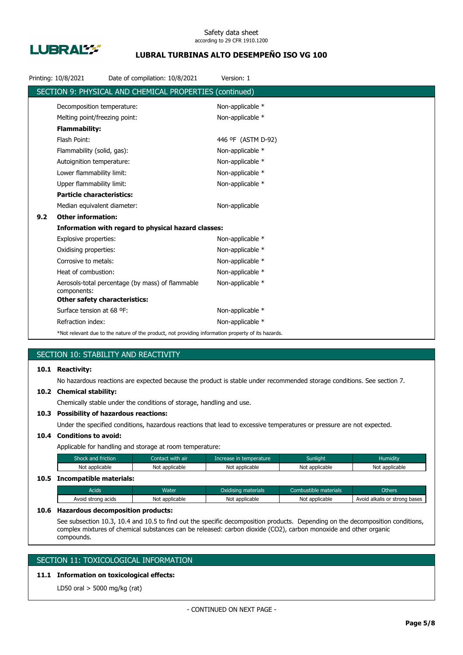

## **LUBRAL TURBINAS ALTO DESEMPEÑO ISO VG 100**

|     | Printing: 10/8/2021                                                                                | Date of compilation: 10/8/2021                          | Version: 1         |  |
|-----|----------------------------------------------------------------------------------------------------|---------------------------------------------------------|--------------------|--|
|     |                                                                                                    | SECTION 9: PHYSICAL AND CHEMICAL PROPERTIES (continued) |                    |  |
|     | Decomposition temperature:                                                                         |                                                         | Non-applicable *   |  |
|     | Melting point/freezing point:                                                                      |                                                         | Non-applicable *   |  |
|     | <b>Flammability:</b>                                                                               |                                                         |                    |  |
|     | Flash Point:                                                                                       |                                                         | 446 °F (ASTM D-92) |  |
|     | Flammability (solid, gas):                                                                         |                                                         | Non-applicable *   |  |
|     | Autoignition temperature:                                                                          |                                                         | Non-applicable *   |  |
|     | Lower flammability limit:                                                                          |                                                         | Non-applicable *   |  |
|     | Upper flammability limit:                                                                          |                                                         | Non-applicable *   |  |
|     | <b>Particle characteristics:</b>                                                                   |                                                         |                    |  |
|     | Median equivalent diameter:                                                                        |                                                         | Non-applicable     |  |
| 9.2 | <b>Other information:</b>                                                                          |                                                         |                    |  |
|     |                                                                                                    | Information with regard to physical hazard classes:     |                    |  |
|     | Explosive properties:                                                                              |                                                         | Non-applicable *   |  |
|     | Oxidising properties:                                                                              |                                                         | Non-applicable *   |  |
|     | Corrosive to metals:                                                                               |                                                         | Non-applicable *   |  |
|     | Heat of combustion:                                                                                |                                                         | Non-applicable *   |  |
|     | components:                                                                                        | Aerosols-total percentage (by mass) of flammable        | Non-applicable *   |  |
|     | <b>Other safety characteristics:</b>                                                               |                                                         |                    |  |
|     | Surface tension at 68 °F:                                                                          |                                                         | Non-applicable *   |  |
|     | Refraction index:                                                                                  |                                                         | Non-applicable *   |  |
|     | *Not relevant due to the nature of the product, not providing information property of its hazards. |                                                         |                    |  |

## SECTION 10: STABILITY AND REACTIVITY

### **10.1 Reactivity:**

No hazardous reactions are expected because the product is stable under recommended storage conditions. See section 7.

#### **10.2 Chemical stability:**

Chemically stable under the conditions of storage, handling and use.

### **10.3 Possibility of hazardous reactions:**

Under the specified conditions, hazardous reactions that lead to excessive temperatures or pressure are not expected.

## **10.4 Conditions to avoid:**

Applicable for handling and storage at room temperature:

| Shock and friction           | Contact with air | Increase in temperature | <b>Sunlight</b> | <b>Humidity</b> |
|------------------------------|------------------|-------------------------|-----------------|-----------------|
| Not applicable               | Not applicable   | Not applicable          | Not applicable  | Not applicable  |
| 10.5 Incompatible materials: |                  |                         |                 |                 |

## Acids **Water Water Combustible materials** Combustible materials Combustible materials Combustible materials Avoid strong acids Not applicable Not applicable Not applicable Not applicable Avoid alkalis or strong bases

#### **10.6 Hazardous decomposition products:**

See subsection 10.3, 10.4 and 10.5 to find out the specific decomposition products. Depending on the decomposition conditions, complex mixtures of chemical substances can be released: carbon dioxide (CO2), carbon monoxide and other organic compounds.

## SECTION 11: TOXICOLOGICAL INFORMATION

## **11.1 Information on toxicological effects:**

LD50 oral > 5000 mg/kg (rat)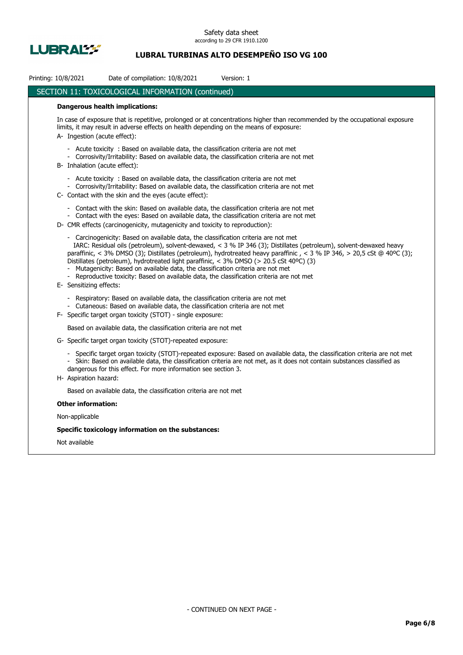

## **LUBRAL TURBINAS ALTO DESEMPEÑO ISO VG 100**

| Printing: 10/8/2021 |                               | Date of compilation: 10/8/2021                                                                                                                                                                                                                                                                                                                                | Version: 1                                                                                                                                                                                                                                               |
|---------------------|-------------------------------|---------------------------------------------------------------------------------------------------------------------------------------------------------------------------------------------------------------------------------------------------------------------------------------------------------------------------------------------------------------|----------------------------------------------------------------------------------------------------------------------------------------------------------------------------------------------------------------------------------------------------------|
|                     |                               | SECTION 11: TOXICOLOGICAL INFORMATION (continued)                                                                                                                                                                                                                                                                                                             |                                                                                                                                                                                                                                                          |
|                     |                               | <b>Dangerous health implications:</b>                                                                                                                                                                                                                                                                                                                         |                                                                                                                                                                                                                                                          |
|                     | A Ingestion (acute effect):   | limits, it may result in adverse effects on health depending on the means of exposure:                                                                                                                                                                                                                                                                        | In case of exposure that is repetitive, prolonged or at concentrations higher than recommended by the occupational exposure                                                                                                                              |
|                     | B- Inhalation (acute effect): | - Acute toxicity : Based on available data, the classification criteria are not met<br>- Corrosivity/Irritability: Based on available data, the classification criteria are not met                                                                                                                                                                           |                                                                                                                                                                                                                                                          |
|                     |                               | - Acute toxicity : Based on available data, the classification criteria are not met<br>- Corrosivity/Irritability: Based on available data, the classification criteria are not met<br>C- Contact with the skin and the eyes (acute effect):                                                                                                                  |                                                                                                                                                                                                                                                          |
|                     |                               | - Contact with the skin: Based on available data, the classification criteria are not met<br>- Contact with the eyes: Based on available data, the classification criteria are not met<br>D- CMR effects (carcinogenicity, mutagenicity and toxicity to reproduction):                                                                                        |                                                                                                                                                                                                                                                          |
|                     | E- Sensitizing effects:       | - Carcinogenicity: Based on available data, the classification criteria are not met<br>Distillates (petroleum), hydrotreated light paraffinic, < 3% DMSO (> 20.5 cSt 40°C) (3)<br>Mutagenicity: Based on available data, the classification criteria are not met<br>- Reproductive toxicity: Based on available data, the classification criteria are not met | IARC: Residual oils (petroleum), solvent-dewaxed, < 3 % IP 346 (3); Distillates (petroleum), solvent-dewaxed heavy<br>paraffinic, < 3% DMSO (3); Distillates (petroleum), hydrotreated heavy paraffinic, < 3 % IP 346, > 20,5 cSt @ 40°C (3);            |
|                     |                               | Respiratory: Based on available data, the classification criteria are not met<br>- Cutaneous: Based on available data, the classification criteria are not met<br>F- Specific target organ toxicity (STOT) - single exposure:                                                                                                                                 |                                                                                                                                                                                                                                                          |
|                     |                               | Based on available data, the classification criteria are not met                                                                                                                                                                                                                                                                                              |                                                                                                                                                                                                                                                          |
|                     |                               | G- Specific target organ toxicity (STOT)-repeated exposure:                                                                                                                                                                                                                                                                                                   |                                                                                                                                                                                                                                                          |
|                     | H- Aspiration hazard:         | dangerous for this effect. For more information see section 3.                                                                                                                                                                                                                                                                                                | - Specific target organ toxicity (STOT)-repeated exposure: Based on available data, the classification criteria are not met<br>- Skin: Based on available data, the classification criteria are not met, as it does not contain substances classified as |
|                     |                               | Based on available data, the classification criteria are not met                                                                                                                                                                                                                                                                                              |                                                                                                                                                                                                                                                          |
|                     | <b>Other information:</b>     |                                                                                                                                                                                                                                                                                                                                                               |                                                                                                                                                                                                                                                          |
|                     | Non-applicable                |                                                                                                                                                                                                                                                                                                                                                               |                                                                                                                                                                                                                                                          |
|                     |                               | Specific toxicology information on the substances:                                                                                                                                                                                                                                                                                                            |                                                                                                                                                                                                                                                          |
|                     | Not available                 |                                                                                                                                                                                                                                                                                                                                                               |                                                                                                                                                                                                                                                          |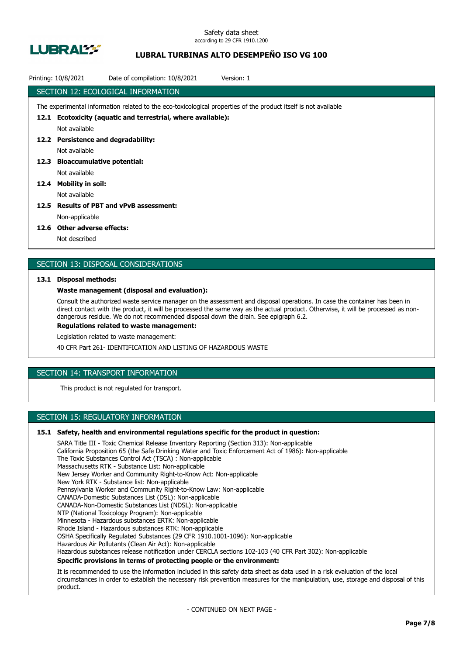

## **LUBRAL TURBINAS ALTO DESEMPEÑO ISO VG 100**

|      | Date of compilation: 10/8/2021<br>Printing: 10/8/2021<br>Version: 1                                             |
|------|-----------------------------------------------------------------------------------------------------------------|
|      | SECTION 12: ECOLOGICAL INFORMATION                                                                              |
|      | The experimental information related to the eco-toxicological properties of the product itself is not available |
| 12.1 | Ecotoxicity (aquatic and terrestrial, where available):                                                         |
|      | Not available                                                                                                   |
| 12.2 | <b>Persistence and degradability:</b>                                                                           |
|      | Not available                                                                                                   |
| 12.3 | <b>Bioaccumulative potential:</b>                                                                               |
|      | Not available                                                                                                   |
| 12.4 | <b>Mobility in soil:</b>                                                                                        |
|      | Not available                                                                                                   |
| 12.5 | <b>Results of PBT and vPvB assessment:</b>                                                                      |
|      | Non-applicable                                                                                                  |
|      |                                                                                                                 |

#### **12.6 Other adverse effects:**

Not described

### SECTION 13: DISPOSAL CONSIDERATIONS

#### **13.1 Disposal methods:**

#### **Waste management (disposal and evaluation):**

Consult the authorized waste service manager on the assessment and disposal operations. In case the container has been in direct contact with the product, it will be processed the same way as the actual product. Otherwise, it will be processed as nondangerous residue. We do not recommended disposal down the drain. See epigraph 6.2.

**Regulations related to waste management:**

Legislation related to waste management:

40 CFR Part 261- IDENTIFICATION AND LISTING OF HAZARDOUS WASTE

## SECTION 14: TRANSPORT INFORMATION

This product is not regulated for transport.

## SECTION 15: REGULATORY INFORMATION

#### **15.1 Safety, health and environmental regulations specific for the product in question:**

SARA Title III - Toxic Chemical Release Inventory Reporting (Section 313): Non-applicable California Proposition 65 (the Safe Drinking Water and Toxic Enforcement Act of 1986): Non-applicable The Toxic Substances Control Act (TSCA) : Non-applicable Massachusetts RTK - Substance List: Non-applicable New Jersey Worker and Community Right-to-Know Act: Non-applicable New York RTK - Substance list: Non-applicable Pennsylvania Worker and Community Right-to-Know Law: Non-applicable CANADA-Domestic Substances List (DSL): Non-applicable CANADA-Non-Domestic Substances List (NDSL): Non-applicable NTP (National Toxicology Program): Non-applicable Minnesota - Hazardous substances ERTK: Non-applicable Rhode Island - Hazardous substances RTK: Non-applicable OSHA Specifically Regulated Substances (29 CFR 1910.1001-1096): Non-applicable Hazardous Air Pollutants (Clean Air Act): Non-applicable Hazardous substances release notification under CERCLA sections 102-103 (40 CFR Part 302): Non-applicable **Specific provisions in terms of protecting people or the environment:**

It is recommended to use the information included in this safety data sheet as data used in a risk evaluation of the local circumstances in order to establish the necessary risk prevention measures for the manipulation, use, storage and disposal of this product.

- CONTINUED ON NEXT PAGE -